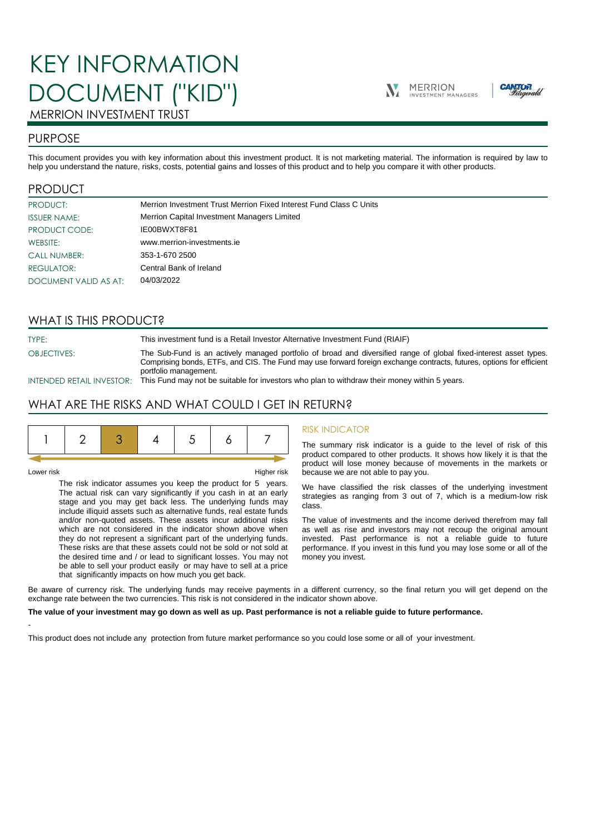# KEY INFORMATION DOCUMENT ("KID")





## MERRION INVESTMENT TRUST

## PURPOSE

This document provides you with key information about this investment product. It is not marketing material. The information is required by law to help you understand the nature, risks, costs, potential gains and losses of this product and to help you compare it with other products.

## PRODUCT

| PRODUCT:              | Merrion Investment Trust Merrion Fixed Interest Fund Class C Units |
|-----------------------|--------------------------------------------------------------------|
| <b>ISSUER NAME:</b>   | Merrion Capital Investment Managers Limited                        |
| PRODUCT CODE:         | IE00BWXT8F81                                                       |
| WEBSITE:              | www.merrion-investments.ie                                         |
| <b>CALL NUMBER:</b>   | 353-1-670 2500                                                     |
| REGULATOR:            | Central Bank of Ireland                                            |
| DOCUMENT VALID AS AT: | 04/03/2022                                                         |

## WHAT IS THIS PRODUCT?

TYPE: This investment fund is a Retail Investor Alternative Investment Fund (RIAIF) OBJECTIVES: The Sub-Fund is an actively managed portfolio of broad and diversified range of global fixed-interest asset types. Comprising bonds, ETFs, and CIS. The Fund may use forward foreign exchange contracts, futures, options for efficient portfolio management.

INTENDED RETAIL INVESTOR: This Fund may not be suitable for investors who plan to withdraw their money within 5 years.

## WHAT ARE THE RISKS AND WHAT COULD I GET IN RETURN?

|--|--|--|--|--|--|--|--|

-

Lower risk Higher risk

The risk indicator assumes you keep the product for 5 years. The actual risk can vary significantly if you cash in at an early stage and you may get back less. The underlying funds may include illiquid assets such as alternative funds, real estate funds and/or non-quoted assets. These assets incur additional risks which are not considered in the indicator shown above when they do not represent a significant part of the underlying funds. These risks are that these assets could not be sold or not sold at the desired time and / or lead to significant losses. You may not be able to sell your product easily or may have to sell at a price that significantly impacts on how much you get back.

#### RISK INDICATOR

The summary risk indicator is a guide to the level of risk of this product compared to other products. It shows how likely it is that the product will lose money because of movements in the markets or because we are not able to pay you.

We have classified the risk classes of the underlying investment strategies as ranging from 3 out of 7, which is a medium-low risk class.

The value of investments and the income derived therefrom may fall as well as rise and investors may not recoup the original amount invested. Past performance is not a reliable guide to future performance. If you invest in this fund you may lose some or all of the money you invest.

Be aware of currency risk. The underlying funds may receive payments in a different currency, so the final return you will get depend on the exchange rate between the two currencies. This risk is not considered in the indicator shown above.

#### **The value of your investment may go down as well as up. Past performance is not a reliable guide to future performance.**

This product does not include any protection from future market performance so you could lose some or all of your investment.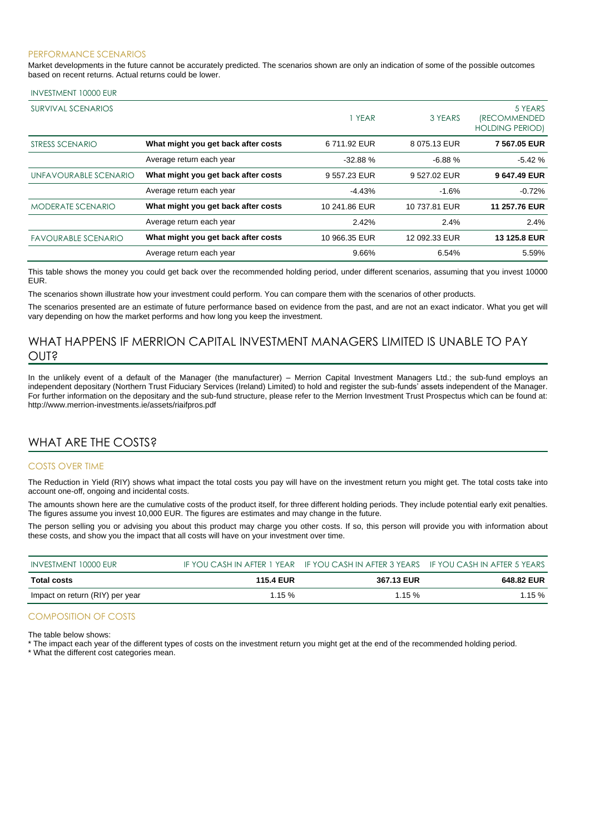#### PERFORMANCE SCENARIOS

Market developments in the future cannot be accurately predicted. The scenarios shown are only an indication of some of the possible outcomes based on recent returns. Actual returns could be lower.

#### INVESTMENT 10000 EUR

| <b>SURVIVAL SCENARIOS</b>  |                                     | 1 YEAR        | 3 YEARS       | 5 YEARS<br><i><b>(RECOMMENDED</b></i><br><b>HOLDING PERIOD)</b> |
|----------------------------|-------------------------------------|---------------|---------------|-----------------------------------------------------------------|
| STRESS SCENARIO            | What might you get back after costs | 6711.92 EUR   | 8 075.13 EUR  | 7 567.05 EUR                                                    |
|                            | Average return each year            | $-32.88%$     | $-6.88%$      | $-5.42%$                                                        |
| UNFAVOURABLE SCENARIO      | What might you get back after costs | 9 557.23 EUR  | 9 527.02 EUR  | 9 647.49 EUR                                                    |
|                            | Average return each year            | $-4.43%$      | $-1.6%$       | $-0.72%$                                                        |
| <b>MODERATE SCENARIO</b>   | What might you get back after costs | 10 241.86 EUR | 10 737.81 EUR | 11 257.76 EUR                                                   |
|                            | Average return each year            | 2.42%         | 2.4%          | 2.4%                                                            |
| <b>FAVOURABLE SCENARIO</b> | What might you get back after costs | 10 966.35 EUR | 12 092.33 EUR | 13 125.8 EUR                                                    |
|                            | Average return each year            | 9.66%         | 6.54%         | 5.59%                                                           |

This table shows the money you could get back over the recommended holding period, under different scenarios, assuming that you invest 10000 EUR.

The scenarios shown illustrate how your investment could perform. You can compare them with the scenarios of other products.

The scenarios presented are an estimate of future performance based on evidence from the past, and are not an exact indicator. What you get will vary depending on how the market performs and how long you keep the investment.

## WHAT HAPPENS IF MERRION CAPITAL INVESTMENT MANAGERS LIMITED IS UNABLE TO PAY OUT?

In the unlikely event of a default of the Manager (the manufacturer) – Merrion Capital Investment Managers Ltd.; the sub-fund employs an independent depositary (Northern Trust Fiduciary Services (Ireland) Limited) to hold and register the sub-funds' assets independent of the Manager. For further information on the depositary and the sub-fund structure, please refer to the Merrion Investment Trust Prospectus which can be found at: http://www.merrion-investments.ie/assets/riaifpros.pdf

## WHAT ARE THE COSTS?

#### COSTS OVER TIME

The Reduction in Yield (RIY) shows what impact the total costs you pay will have on the investment return you might get. The total costs take into account one-off, ongoing and incidental costs.

The amounts shown here are the cumulative costs of the product itself, for three different holding periods. They include potential early exit penalties. The figures assume you invest 10,000 EUR. The figures are estimates and may change in the future.

The person selling you or advising you about this product may charge you other costs. If so, this person will provide you with information about these costs, and show you the impact that all costs will have on your investment over time.

| INVESTMENT 10000 EUR            |                  | IF YOU CASH IN AFTER 1 YEAR IF YOU CASH IN AFTER 3 YEARS IF YOU CASH IN AFTER 5 YEARS |            |
|---------------------------------|------------------|---------------------------------------------------------------------------------------|------------|
| Total costs                     | <b>115.4 EUR</b> | 367.13 EUR                                                                            | 648.82 EUR |
| Impact on return (RIY) per year | $1.15 \%$        | 1.15%                                                                                 | $1.15 \%$  |

### COMPOSITION OF COSTS

The table below shows:

\* The impact each year of the different types of costs on the investment return you might get at the end of the recommended holding period.

\* What the different cost categories mean.